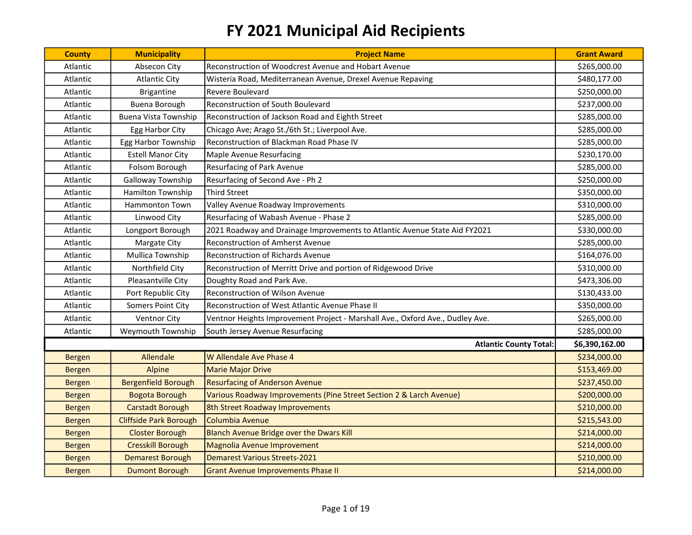| <b>County</b>   | <b>Municipality</b>           | <b>Project Name</b>                                                           | <b>Grant Award</b> |
|-----------------|-------------------------------|-------------------------------------------------------------------------------|--------------------|
| Atlantic        | Absecon City                  | Reconstruction of Woodcrest Avenue and Hobart Avenue                          | \$265,000.00       |
| Atlantic        | <b>Atlantic City</b>          | Wisteria Road, Mediterranean Avenue, Drexel Avenue Repaving                   | \$480,177.00       |
| Atlantic        | <b>Brigantine</b>             | Revere Boulevard                                                              | \$250,000.00       |
| Atlantic        | Buena Borough                 | <b>Reconstruction of South Boulevard</b>                                      | \$237,000.00       |
| Atlantic        | Buena Vista Township          | Reconstruction of Jackson Road and Eighth Street                              | \$285,000.00       |
| Atlantic        | Egg Harbor City               | Chicago Ave; Arago St./6th St.; Liverpool Ave.                                | \$285,000.00       |
| Atlantic        | Egg Harbor Township           | Reconstruction of Blackman Road Phase IV                                      | \$285,000.00       |
| Atlantic        | <b>Estell Manor City</b>      | <b>Maple Avenue Resurfacing</b>                                               | \$230,170.00       |
| Atlantic        | Folsom Borough                | Resurfacing of Park Avenue                                                    | \$285,000.00       |
| Atlantic        | Galloway Township             | Resurfacing of Second Ave - Ph 2                                              | \$250,000.00       |
| Atlantic        | Hamilton Township             | <b>Third Street</b>                                                           | \$350,000.00       |
| Atlantic        | <b>Hammonton Town</b>         | Valley Avenue Roadway Improvements                                            | \$310,000.00       |
| Atlantic        | Linwood City                  | Resurfacing of Wabash Avenue - Phase 2                                        | \$285,000.00       |
| Atlantic        | Longport Borough              | 2021 Roadway and Drainage Improvements to Atlantic Avenue State Aid FY2021    | \$330,000.00       |
| Atlantic        | Margate City                  | <b>Reconstruction of Amherst Avenue</b>                                       | \$285,000.00       |
| Atlantic        | Mullica Township              | <b>Reconstruction of Richards Avenue</b>                                      | \$164,076.00       |
| Atlantic        | Northfield City               | Reconstruction of Merritt Drive and portion of Ridgewood Drive                | \$310,000.00       |
| Atlantic        | Pleasantville City            | Doughty Road and Park Ave.                                                    | \$473,306.00       |
| Atlantic        | Port Republic City            | <b>Reconstruction of Wilson Avenue</b>                                        | \$130,433.00       |
| <b>Atlantic</b> | Somers Point City             | Reconstruction of West Atlantic Avenue Phase II                               | \$350,000.00       |
| Atlantic        | Ventnor City                  | Ventnor Heights Improvement Project - Marshall Ave., Oxford Ave., Dudley Ave. | \$265,000.00       |
| Atlantic        | Weymouth Township             | South Jersey Avenue Resurfacing                                               | \$285,000.00       |
|                 |                               | <b>Atlantic County Total:</b>                                                 | \$6,390,162.00     |
| <b>Bergen</b>   | Allendale                     | W Allendale Ave Phase 4                                                       | \$234,000.00       |
| <b>Bergen</b>   | Alpine                        | <b>Marie Major Drive</b>                                                      | \$153,469.00       |
| <b>Bergen</b>   | <b>Bergenfield Borough</b>    | <b>Resurfacing of Anderson Avenue</b>                                         | \$237,450.00       |
| <b>Bergen</b>   | <b>Bogota Borough</b>         | Various Roadway Improvements (Pine Street Section 2 & Larch Avenue)           | \$200,000.00       |
| <b>Bergen</b>   | <b>Carstadt Borough</b>       | 8th Street Roadway Improvements                                               | \$210,000.00       |
| <b>Bergen</b>   | <b>Cliffside Park Borough</b> | Columbia Avenue                                                               | \$215,543.00       |
| <b>Bergen</b>   | <b>Closter Borough</b>        | <b>Blanch Avenue Bridge over the Dwars Kill</b>                               | \$214,000.00       |
| <b>Bergen</b>   | <b>Cresskill Borough</b>      | Magnolia Avenue Improvement                                                   | \$214,000.00       |
| <b>Bergen</b>   | <b>Demarest Borough</b>       | <b>Demarest Various Streets-2021</b>                                          | \$210,000.00       |
| <b>Bergen</b>   | <b>Dumont Borough</b>         | <b>Grant Avenue Improvements Phase II</b>                                     | \$214,000.00       |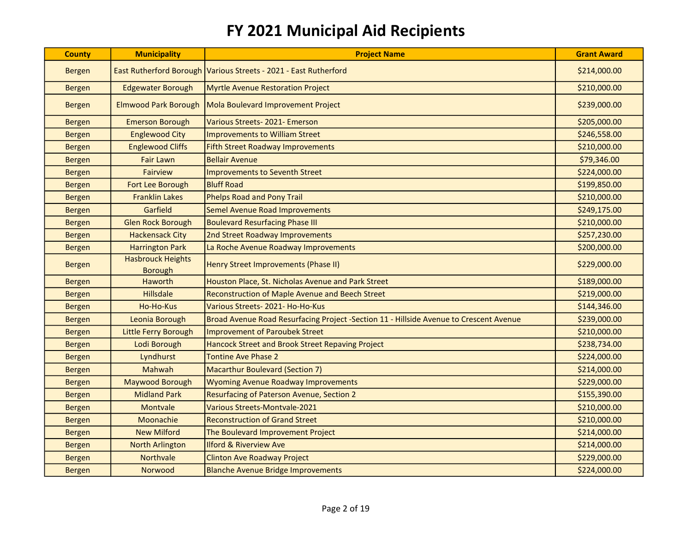| <b>County</b> | <b>Municipality</b>                        | <b>Project Name</b>                                                                    | <b>Grant Award</b> |
|---------------|--------------------------------------------|----------------------------------------------------------------------------------------|--------------------|
| <b>Bergen</b> |                                            | East Rutherford Borough   Various Streets - 2021 - East Rutherford                     | \$214,000.00       |
| <b>Bergen</b> | <b>Edgewater Borough</b>                   | <b>Myrtle Avenue Restoration Project</b>                                               | \$210,000.00       |
| <b>Bergen</b> | <b>Elmwood Park Borough</b>                | Mola Boulevard Improvement Project                                                     | \$239,000.00       |
| <b>Bergen</b> | <b>Emerson Borough</b>                     | Various Streets- 2021- Emerson                                                         | \$205,000.00       |
| <b>Bergen</b> | <b>Englewood City</b>                      | Improvements to William Street                                                         | \$246,558.00       |
| <b>Bergen</b> | <b>Englewood Cliffs</b>                    | <b>Fifth Street Roadway Improvements</b>                                               | \$210,000.00       |
| <b>Bergen</b> | <b>Fair Lawn</b>                           | <b>Bellair Avenue</b>                                                                  | \$79,346.00        |
| <b>Bergen</b> | <b>Fairview</b>                            | Improvements to Seventh Street                                                         | \$224,000.00       |
| <b>Bergen</b> | Fort Lee Borough                           | <b>Bluff Road</b>                                                                      | \$199,850.00       |
| <b>Bergen</b> | <b>Franklin Lakes</b>                      | <b>Phelps Road and Pony Trail</b>                                                      | \$210,000.00       |
| <b>Bergen</b> | Garfield                                   | Semel Avenue Road Improvements                                                         | \$249,175.00       |
| <b>Bergen</b> | <b>Glen Rock Borough</b>                   | <b>Boulevard Resurfacing Phase III</b>                                                 | \$210,000.00       |
| <b>Bergen</b> | <b>Hackensack City</b>                     | 2nd Street Roadway Improvements                                                        | \$257,230.00       |
| <b>Bergen</b> | <b>Harrington Park</b>                     | La Roche Avenue Roadway Improvements                                                   | \$200,000.00       |
| <b>Bergen</b> | <b>Hasbrouck Heights</b><br><b>Borough</b> | Henry Street Improvements (Phase II)                                                   | \$229,000.00       |
| <b>Bergen</b> | <b>Haworth</b>                             | Houston Place, St. Nicholas Avenue and Park Street                                     | \$189,000.00       |
| <b>Bergen</b> | <b>Hillsdale</b>                           | <b>Reconstruction of Maple Avenue and Beech Street</b>                                 | \$219,000.00       |
| <b>Bergen</b> | Ho-Ho-Kus                                  | Various Streets- 2021- Ho-Ho-Kus                                                       | \$144,346.00       |
| <b>Bergen</b> | Leonia Borough                             | Broad Avenue Road Resurfacing Project -Section 11 - Hillside Avenue to Crescent Avenue | \$239,000.00       |
| <b>Bergen</b> | <b>Little Ferry Borough</b>                | Improvement of Paroubek Street                                                         | \$210,000.00       |
| <b>Bergen</b> | Lodi Borough                               | Hancock Street and Brook Street Repaving Project                                       | \$238,734.00       |
| <b>Bergen</b> | Lyndhurst                                  | <b>Tontine Ave Phase 2</b>                                                             | \$224,000.00       |
| <b>Bergen</b> | Mahwah                                     | <b>Macarthur Boulevard (Section 7)</b>                                                 | \$214,000.00       |
| <b>Bergen</b> | Maywood Borough                            | <b>Wyoming Avenue Roadway Improvements</b>                                             | \$229,000.00       |
| <b>Bergen</b> | <b>Midland Park</b>                        | Resurfacing of Paterson Avenue, Section 2                                              | \$155,390.00       |
| <b>Bergen</b> | <b>Montvale</b>                            | <b>Various Streets-Montvale-2021</b>                                                   | \$210,000.00       |
| <b>Bergen</b> | Moonachie                                  | <b>Reconstruction of Grand Street</b>                                                  | \$210,000.00       |
| <b>Bergen</b> | <b>New Milford</b>                         | The Boulevard Improvement Project                                                      | \$214,000.00       |
| <b>Bergen</b> | <b>North Arlington</b>                     | <b>Ilford &amp; Riverview Ave</b>                                                      | \$214,000.00       |
| <b>Bergen</b> | Northvale                                  | <b>Clinton Ave Roadway Project</b>                                                     | \$229,000.00       |
| <b>Bergen</b> | Norwood                                    | <b>Blanche Avenue Bridge Improvements</b>                                              | \$224,000.00       |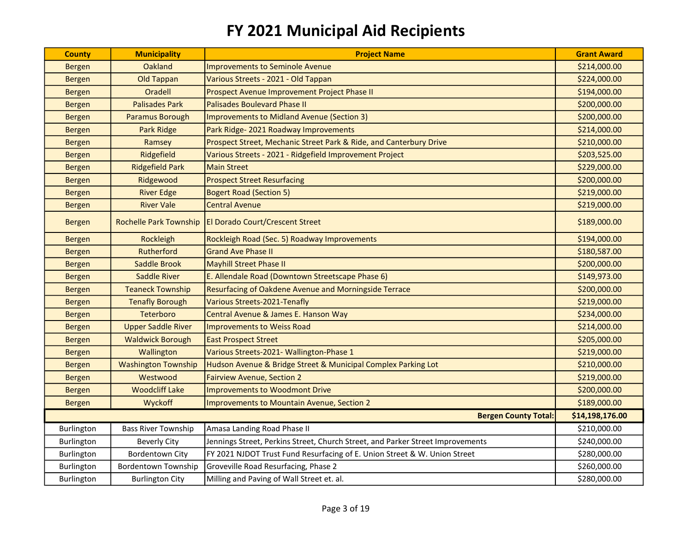| <b>County</b> | <b>Municipality</b>        | <b>Project Name</b>                                                            | <b>Grant Award</b> |
|---------------|----------------------------|--------------------------------------------------------------------------------|--------------------|
| <b>Bergen</b> | <b>Oakland</b>             | <b>Improvements to Seminole Avenue</b>                                         | \$214,000.00       |
| <b>Bergen</b> | <b>Old Tappan</b>          | Various Streets - 2021 - Old Tappan                                            | \$224,000.00       |
| <b>Bergen</b> | Oradell                    | Prospect Avenue Improvement Project Phase II                                   | \$194,000.00       |
| <b>Bergen</b> | <b>Palisades Park</b>      | <b>Palisades Boulevard Phase II</b>                                            | \$200,000.00       |
| <b>Bergen</b> | Paramus Borough            | Improvements to Midland Avenue (Section 3)                                     | \$200,000.00       |
| <b>Bergen</b> | Park Ridge                 | Park Ridge-2021 Roadway Improvements                                           | \$214,000.00       |
| <b>Bergen</b> | Ramsey                     | Prospect Street, Mechanic Street Park & Ride, and Canterbury Drive             | \$210,000.00       |
| <b>Bergen</b> | Ridgefield                 | Various Streets - 2021 - Ridgefield Improvement Project                        | \$203,525.00       |
| <b>Bergen</b> | <b>Ridgefield Park</b>     | <b>Main Street</b>                                                             | \$229,000.00       |
| <b>Bergen</b> | Ridgewood                  | <b>Prospect Street Resurfacing</b>                                             | \$200,000.00       |
| <b>Bergen</b> | <b>River Edge</b>          | <b>Bogert Road (Section 5)</b>                                                 | \$219,000.00       |
| <b>Bergen</b> | <b>River Vale</b>          | <b>Central Avenue</b>                                                          | \$219,000.00       |
| <b>Bergen</b> |                            | Rochelle Park Township   El Dorado Court/Crescent Street                       | \$189,000.00       |
| <b>Bergen</b> | Rockleigh                  | Rockleigh Road (Sec. 5) Roadway Improvements                                   | \$194,000.00       |
| <b>Bergen</b> | Rutherford                 | <b>Grand Ave Phase II</b>                                                      | \$180,587.00       |
| <b>Bergen</b> | <b>Saddle Brook</b>        | <b>Mayhill Street Phase II</b>                                                 | \$200,000.00       |
| <b>Bergen</b> | <b>Saddle River</b>        | E. Allendale Road (Downtown Streetscape Phase 6)                               | \$149,973.00       |
| <b>Bergen</b> | <b>Teaneck Township</b>    | Resurfacing of Oakdene Avenue and Morningside Terrace                          | \$200,000.00       |
| <b>Bergen</b> | <b>Tenafly Borough</b>     | <b>Various Streets-2021-Tenafly</b>                                            | \$219,000.00       |
| <b>Bergen</b> | Teterboro                  | Central Avenue & James E. Hanson Way                                           | \$234,000.00       |
| <b>Bergen</b> | <b>Upper Saddle River</b>  | <b>Improvements to Weiss Road</b>                                              | \$214,000.00       |
| <b>Bergen</b> | <b>Waldwick Borough</b>    | <b>East Prospect Street</b>                                                    | \$205,000.00       |
| <b>Bergen</b> | Wallington                 | Various Streets-2021- Wallington-Phase 1                                       | \$219,000.00       |
| <b>Bergen</b> | <b>Washington Township</b> | Hudson Avenue & Bridge Street & Municipal Complex Parking Lot                  | \$210,000.00       |
| <b>Bergen</b> | Westwood                   | <b>Fairview Avenue, Section 2</b>                                              | \$219,000.00       |
| <b>Bergen</b> | <b>Woodcliff Lake</b>      | <b>Improvements to Woodmont Drive</b>                                          | \$200,000.00       |
| <b>Bergen</b> | Wyckoff                    | Improvements to Mountain Avenue, Section 2                                     | \$189,000.00       |
|               |                            | <b>Bergen County Total:</b>                                                    | \$14,198,176.00    |
| Burlington    | <b>Bass River Township</b> | Amasa Landing Road Phase II                                                    | \$210,000.00       |
| Burlington    | <b>Beverly City</b>        | Jennings Street, Perkins Street, Church Street, and Parker Street Improvements | \$240,000.00       |
| Burlington    | <b>Bordentown City</b>     | FY 2021 NJDOT Trust Fund Resurfacing of E. Union Street & W. Union Street      | \$280,000.00       |
| Burlington    | Bordentown Township        | Groveville Road Resurfacing, Phase 2                                           | \$260,000.00       |
| Burlington    | <b>Burlington City</b>     | Milling and Paving of Wall Street et. al.                                      | \$280,000.00       |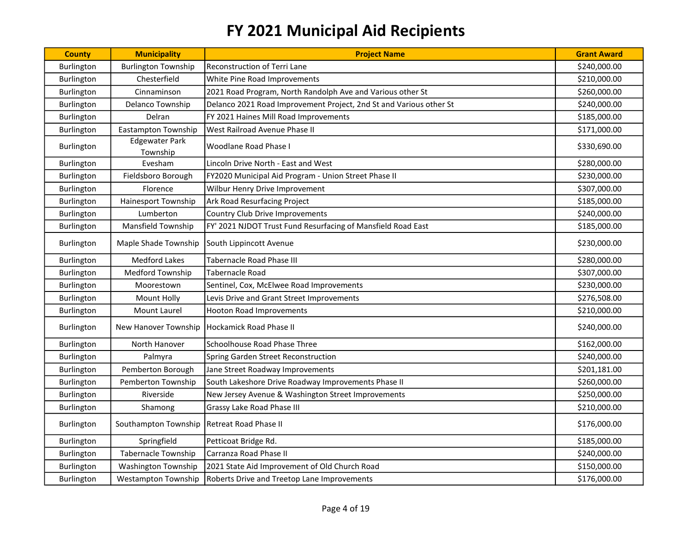| <b>County</b> | <b>Municipality</b>               | <b>Project Name</b>                                                | <b>Grant Award</b> |
|---------------|-----------------------------------|--------------------------------------------------------------------|--------------------|
| Burlington    | <b>Burlington Township</b>        | Reconstruction of Terri Lane                                       | \$240,000.00       |
| Burlington    | Chesterfield                      | White Pine Road Improvements                                       | \$210,000.00       |
| Burlington    | Cinnaminson                       | 2021 Road Program, North Randolph Ave and Various other St         | \$260,000.00       |
| Burlington    | Delanco Township                  | Delanco 2021 Road Improvement Project, 2nd St and Various other St | \$240,000.00       |
| Burlington    | Delran                            | FY 2021 Haines Mill Road Improvements                              | \$185,000.00       |
| Burlington    | Eastampton Township               | West Railroad Avenue Phase II                                      | \$171,000.00       |
| Burlington    | <b>Edgewater Park</b><br>Township | Woodlane Road Phase I                                              | \$330,690.00       |
| Burlington    | Evesham                           | Lincoln Drive North - East and West                                | \$280,000.00       |
| Burlington    | Fieldsboro Borough                | FY2020 Municipal Aid Program - Union Street Phase II               | \$230,000.00       |
| Burlington    | Florence                          | Wilbur Henry Drive Improvement                                     | \$307,000.00       |
| Burlington    | Hainesport Township               | Ark Road Resurfacing Project                                       | \$185,000.00       |
| Burlington    | Lumberton                         | Country Club Drive Improvements                                    | \$240,000.00       |
| Burlington    | Mansfield Township                | FY' 2021 NJDOT Trust Fund Resurfacing of Mansfield Road East       | \$185,000.00       |
| Burlington    | Maple Shade Township              | South Lippincott Avenue                                            | \$230,000.00       |
| Burlington    | <b>Medford Lakes</b>              | Tabernacle Road Phase III                                          | \$280,000.00       |
| Burlington    | Medford Township                  | <b>Tabernacle Road</b>                                             | \$307,000.00       |
| Burlington    | Moorestown                        | Sentinel, Cox, McElwee Road Improvements                           | \$230,000.00       |
| Burlington    | Mount Holly                       | Levis Drive and Grant Street Improvements                          | \$276,508.00       |
| Burlington    | Mount Laurel                      | Hooton Road Improvements                                           | \$210,000.00       |
| Burlington    |                                   | New Hanover Township   Hockamick Road Phase II                     | \$240,000.00       |
| Burlington    | North Hanover                     | Schoolhouse Road Phase Three                                       | \$162,000.00       |
| Burlington    | Palmyra                           | Spring Garden Street Reconstruction                                | \$240,000.00       |
| Burlington    | Pemberton Borough                 | Jane Street Roadway Improvements                                   | \$201,181.00       |
| Burlington    | Pemberton Township                | South Lakeshore Drive Roadway Improvements Phase II                | \$260,000.00       |
| Burlington    | Riverside                         | New Jersey Avenue & Washington Street Improvements                 | \$250,000.00       |
| Burlington    | Shamong                           | Grassy Lake Road Phase III                                         | \$210,000.00       |
| Burlington    | Southampton Township              | <b>Retreat Road Phase II</b>                                       | \$176,000.00       |
| Burlington    | Springfield                       | Petticoat Bridge Rd.                                               | \$185,000.00       |
| Burlington    | Tabernacle Township               | Carranza Road Phase II                                             | \$240,000.00       |
| Burlington    | Washington Township               | 2021 State Aid Improvement of Old Church Road                      | \$150,000.00       |
| Burlington    | <b>Westampton Township</b>        | Roberts Drive and Treetop Lane Improvements                        | \$176,000.00       |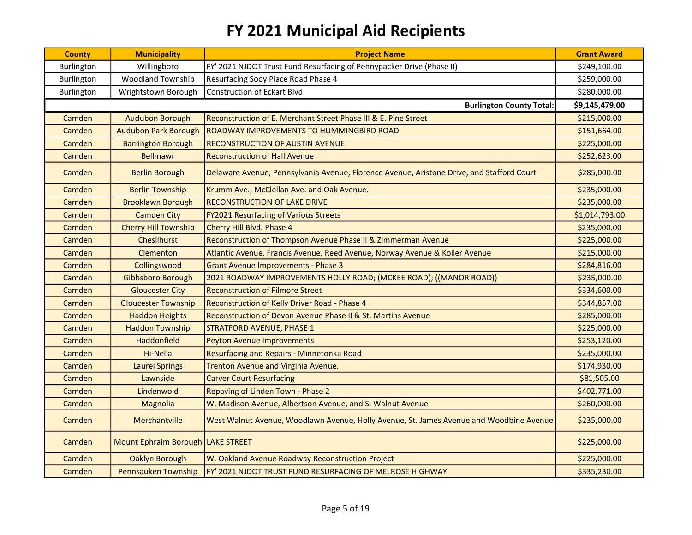| <b>County</b> | <b>Municipality</b>                 | <b>Project Name</b>                                                                       | <b>Grant Award</b> |
|---------------|-------------------------------------|-------------------------------------------------------------------------------------------|--------------------|
| Burlington    | Willingboro                         | FY' 2021 NJDOT Trust Fund Resurfacing of Pennypacker Drive (Phase II)                     | \$249,100.00       |
| Burlington    | <b>Woodland Township</b>            | Resurfacing Sooy Place Road Phase 4                                                       | \$259,000.00       |
| Burlington    | Wrightstown Borough                 | <b>Construction of Eckart Blvd</b>                                                        | \$280,000.00       |
|               |                                     | <b>Burlington County Total:</b>                                                           | \$9,145,479.00     |
| Camden        | <b>Audubon Borough</b>              | Reconstruction of E. Merchant Street Phase III & E. Pine Street                           | \$215,000.00       |
| Camden        | <b>Audubon Park Borough</b>         | <b>ROADWAY IMPROVEMENTS TO HUMMINGBIRD ROAD</b>                                           | \$151,664.00       |
| Camden        | <b>Barrington Borough</b>           | <b>RECONSTRUCTION OF AUSTIN AVENUE</b>                                                    | \$225,000.00       |
| Camden        | <b>Bellmawr</b>                     | <b>Reconstruction of Hall Avenue</b>                                                      | \$252,623.00       |
| Camden        | <b>Berlin Borough</b>               | Delaware Avenue, Pennsylvania Avenue, Florence Avenue, Aristone Drive, and Stafford Court | \$285,000.00       |
| Camden        | <b>Berlin Township</b>              | Krumm Ave., McClellan Ave. and Oak Avenue.                                                | \$235,000.00       |
| Camden        | <b>Brooklawn Borough</b>            | <b>RECONSTRUCTION OF LAKE DRIVE</b>                                                       | \$235,000.00       |
| Camden        | <b>Camden City</b>                  | <b>FY2021 Resurfacing of Various Streets</b>                                              | \$1,014,793.00     |
| Camden        | <b>Cherry Hill Township</b>         | Cherry Hill Blvd. Phase 4                                                                 | \$235,000.00       |
| Camden        | Chesilhurst                         | Reconstruction of Thompson Avenue Phase II & Zimmerman Avenue                             | \$225,000.00       |
| Camden        | Clementon                           | Atlantic Avenue, Francis Avenue, Reed Avenue, Norway Avenue & Koller Avenue               | \$215,000.00       |
| Camden        | Collingswood                        | <b>Grant Avenue Improvements - Phase 3</b>                                                | \$284,816.00       |
| Camden        | Gibbsboro Borough                   | 2021 ROADWAY IMPROVEMENTS HOLLY ROAD; (MCKEE ROAD); ((MANOR ROAD))                        | \$235,000.00       |
| Camden        | <b>Gloucester City</b>              | <b>Reconstruction of Filmore Street</b>                                                   | \$334,600.00       |
| Camden        | <b>Gloucester Township</b>          | Reconstruction of Kelly Driver Road - Phase 4                                             | \$344,857.00       |
| Camden        | <b>Haddon Heights</b>               | Reconstruction of Devon Avenue Phase II & St. Martins Avenue                              | \$285,000.00       |
| Camden        | <b>Haddon Township</b>              | <b>STRATFORD AVENUE, PHASE 1</b>                                                          | \$225,000.00       |
| Camden        | Haddonfield                         | <b>Peyton Avenue Improvements</b>                                                         | \$253,120.00       |
| Camden        | Hi-Nella                            | Resurfacing and Repairs - Minnetonka Road                                                 | \$235,000.00       |
| Camden        | <b>Laurel Springs</b>               | Trenton Avenue and Virginia Avenue.                                                       | \$174,930.00       |
| Camden        | Lawnside                            | <b>Carver Court Resurfacing</b>                                                           | \$81,505.00        |
| Camden        | Lindenwold                          | Repaving of Linden Town - Phase 2                                                         | \$402,771.00       |
| Camden        | Magnolia                            | W. Madison Avenue, Albertson Avenue, and S. Walnut Avenue                                 | \$260,000.00       |
| Camden        | <b>Merchantville</b>                | West Walnut Avenue, Woodlawn Avenue, Holly Avenue, St. James Avenue and Woodbine Avenue   | \$235,000.00       |
| Camden        | Mount Ephraim Borough   LAKE STREET |                                                                                           | \$225,000.00       |
| Camden        | Oaklyn Borough                      | W. Oakland Avenue Roadway Reconstruction Project                                          | \$225,000.00       |
| Camden        | Pennsauken Township                 | FY' 2021 NJDOT TRUST FUND RESURFACING OF MELROSE HIGHWAY                                  | \$335,230.00       |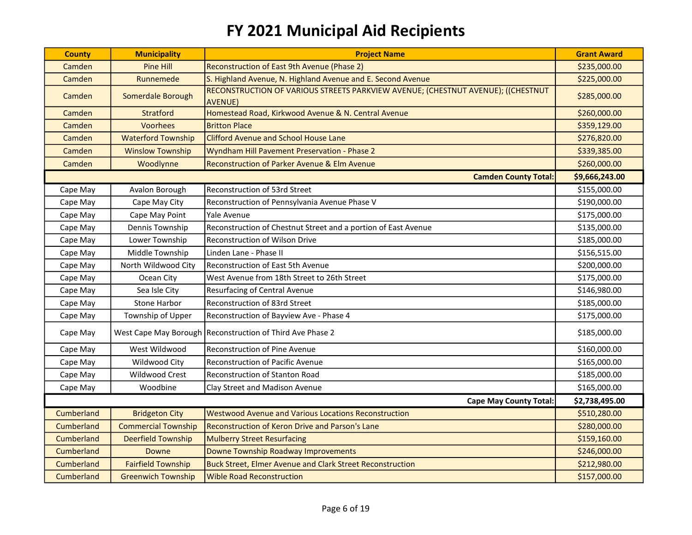| <b>County</b>                 | <b>Municipality</b>        | <b>Project Name</b>                                                                                | <b>Grant Award</b> |
|-------------------------------|----------------------------|----------------------------------------------------------------------------------------------------|--------------------|
| Camden                        | Pine Hill                  | Reconstruction of East 9th Avenue (Phase 2)                                                        | \$235,000.00       |
| Camden                        | Runnemede                  | S. Highland Avenue, N. Highland Avenue and E. Second Avenue                                        | \$225,000.00       |
| Camden                        | Somerdale Borough          | RECONSTRUCTION OF VARIOUS STREETS PARKVIEW AVENUE; (CHESTNUT AVENUE); ((CHESTNUT<br><b>AVENUE)</b> | \$285,000.00       |
| Camden                        | <b>Stratford</b>           | Homestead Road, Kirkwood Avenue & N. Central Avenue                                                | \$260,000.00       |
| Camden                        | <b>Voorhees</b>            | <b>Britton Place</b>                                                                               | \$359,129.00       |
| Camden                        | <b>Waterford Township</b>  | <b>Clifford Avenue and School House Lane</b>                                                       | \$276,820.00       |
| Camden                        | <b>Winslow Township</b>    | Wyndham Hill Pavement Preservation - Phase 2                                                       | \$339,385.00       |
| Camden                        | Woodlynne                  | Reconstruction of Parker Avenue & Elm Avenue                                                       | \$260,000.00       |
|                               |                            | <b>Camden County Total:</b>                                                                        | \$9,666,243.00     |
| Cape May                      | Avalon Borough             | Reconstruction of 53rd Street                                                                      | \$155,000.00       |
| Cape May                      | Cape May City              | Reconstruction of Pennsylvania Avenue Phase V                                                      | \$190,000.00       |
| Cape May                      | Cape May Point             | Yale Avenue                                                                                        | \$175,000.00       |
| Cape May                      | Dennis Township            | Reconstruction of Chestnut Street and a portion of East Avenue                                     | \$135,000.00       |
| Cape May                      | Lower Township             | <b>Reconstruction of Wilson Drive</b>                                                              | \$185,000.00       |
| Cape May                      | Middle Township            | Linden Lane - Phase II                                                                             | \$156,515.00       |
| Cape May                      | North Wildwood City        | Reconstruction of East 5th Avenue                                                                  | \$200,000.00       |
| Cape May                      | Ocean City                 | West Avenue from 18th Street to 26th Street                                                        | \$175,000.00       |
| Cape May                      | Sea Isle City              | Resurfacing of Central Avenue                                                                      | \$146,980.00       |
| Cape May                      | <b>Stone Harbor</b>        | Reconstruction of 83rd Street                                                                      | \$185,000.00       |
| Cape May                      | Township of Upper          | Reconstruction of Bayview Ave - Phase 4                                                            | \$175,000.00       |
| Cape May                      | West Cape May Borough      | Reconstruction of Third Ave Phase 2                                                                | \$185,000.00       |
| Cape May                      | West Wildwood              | Reconstruction of Pine Avenue                                                                      | \$160,000.00       |
| Cape May                      | Wildwood City              | <b>Reconstruction of Pacific Avenue</b>                                                            | \$165,000.00       |
| Cape May                      | Wildwood Crest             | Reconstruction of Stanton Road                                                                     | \$185,000.00       |
| Cape May                      | Woodbine                   | Clay Street and Madison Avenue                                                                     | \$165,000.00       |
| <b>Cape May County Total:</b> |                            | \$2,738,495.00                                                                                     |                    |
| Cumberland                    | <b>Bridgeton City</b>      | <b>Westwood Avenue and Various Locations Reconstruction</b>                                        | \$510,280.00       |
| Cumberland                    | <b>Commercial Township</b> | Reconstruction of Keron Drive and Parson's Lane                                                    | \$280,000.00       |
| Cumberland                    | <b>Deerfield Township</b>  | <b>Mulberry Street Resurfacing</b>                                                                 | \$159,160.00       |
| Cumberland                    | Downe                      | Downe Township Roadway Improvements                                                                | \$246,000.00       |
| Cumberland                    | <b>Fairfield Township</b>  | <b>Buck Street, Elmer Avenue and Clark Street Reconstruction</b>                                   | \$212,980.00       |
| Cumberland                    | <b>Greenwich Township</b>  | <b>Wible Road Reconstruction</b>                                                                   | \$157,000.00       |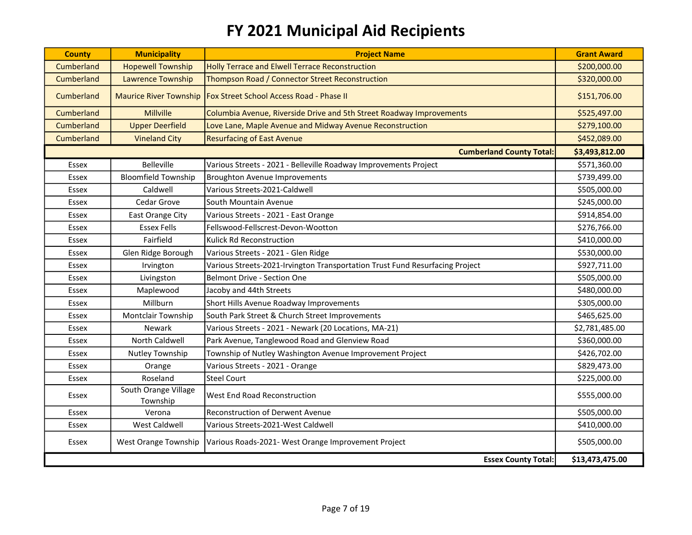| <b>County</b> | <b>Municipality</b>              | <b>Project Name</b>                                                          | <b>Grant Award</b> |
|---------------|----------------------------------|------------------------------------------------------------------------------|--------------------|
| Cumberland    | <b>Hopewell Township</b>         | Holly Terrace and Elwell Terrace Reconstruction                              | \$200,000.00       |
| Cumberland    | <b>Lawrence Township</b>         | Thompson Road / Connector Street Reconstruction                              | \$320,000.00       |
| Cumberland    |                                  | Maurice River Township   Fox Street School Access Road - Phase II            | \$151,706.00       |
| Cumberland    | <b>Millville</b>                 | Columbia Avenue, Riverside Drive and 5th Street Roadway Improvements         | \$525,497.00       |
| Cumberland    | <b>Upper Deerfield</b>           | Love Lane, Maple Avenue and Midway Avenue Reconstruction                     | \$279,100.00       |
| Cumberland    | <b>Vineland City</b>             | <b>Resurfacing of East Avenue</b>                                            | \$452,089.00       |
|               |                                  | <b>Cumberland County Total:</b>                                              | \$3,493,812.00     |
| <b>Essex</b>  | <b>Belleville</b>                | Various Streets - 2021 - Belleville Roadway Improvements Project             | \$571,360.00       |
| Essex         | <b>Bloomfield Township</b>       | <b>Broughton Avenue Improvements</b>                                         | \$739,499.00       |
| Essex         | Caldwell                         | Various Streets-2021-Caldwell                                                | \$505,000.00       |
| Essex         | Cedar Grove                      | South Mountain Avenue                                                        | \$245,000.00       |
| Essex         | East Orange City                 | Various Streets - 2021 - East Orange                                         | \$914,854.00       |
| Essex         | <b>Essex Fells</b>               | Fellswood-Fellscrest-Devon-Wootton                                           | \$276,766.00       |
| Essex         | Fairfield                        | Kulick Rd Reconstruction                                                     | \$410,000.00       |
| Essex         | Glen Ridge Borough               | Various Streets - 2021 - Glen Ridge                                          | \$530,000.00       |
| Essex         | Irvington                        | Various Streets-2021-Irvington Transportation Trust Fund Resurfacing Project | \$927,711.00       |
| Essex         | Livingston                       | Belmont Drive - Section One                                                  | \$505,000.00       |
| Essex         | Maplewood                        | Jacoby and 44th Streets                                                      | \$480,000.00       |
| Essex         | Millburn                         | Short Hills Avenue Roadway Improvements                                      | \$305,000.00       |
| Essex         | <b>Montclair Township</b>        | South Park Street & Church Street Improvements                               | \$465,625.00       |
| Essex         | <b>Newark</b>                    | Various Streets - 2021 - Newark (20 Locations, MA-21)                        | \$2,781,485.00     |
| Essex         | North Caldwell                   | Park Avenue, Tanglewood Road and Glenview Road                               | \$360,000.00       |
| Essex         | Nutley Township                  | Township of Nutley Washington Avenue Improvement Project                     | \$426,702.00       |
| Essex         | Orange                           | Various Streets - 2021 - Orange                                              | \$829,473.00       |
| Essex         | Roseland                         | <b>Steel Court</b>                                                           | \$225,000.00       |
| Essex         | South Orange Village<br>Township | West End Road Reconstruction                                                 | \$555,000.00       |
| Essex         | Verona                           | Reconstruction of Derwent Avenue                                             | \$505,000.00       |
| Essex         | <b>West Caldwell</b>             | Various Streets-2021-West Caldwell                                           | \$410,000.00       |
| Essex         | West Orange Township             | Various Roads-2021- West Orange Improvement Project                          | \$505,000.00       |
|               |                                  | <b>Essex County Total:</b>                                                   | \$13,473,475.00    |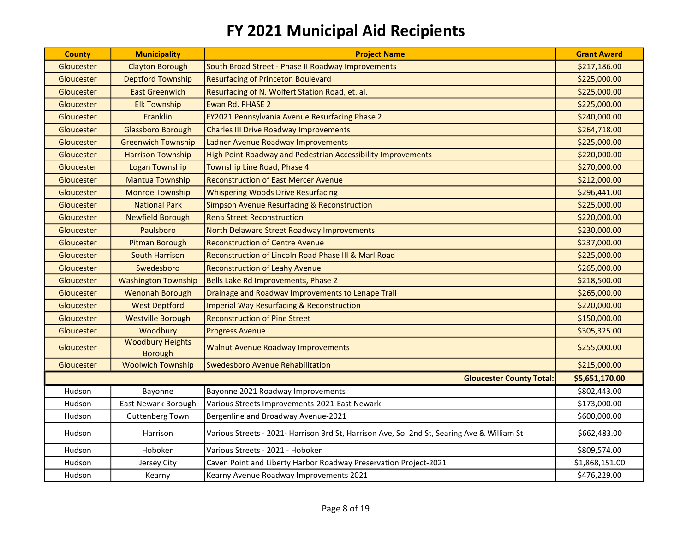| <b>County</b> | <b>Municipality</b>                       | <b>Project Name</b>                                                                         | <b>Grant Award</b> |
|---------------|-------------------------------------------|---------------------------------------------------------------------------------------------|--------------------|
| Gloucester    | <b>Clayton Borough</b>                    | South Broad Street - Phase II Roadway Improvements                                          | \$217,186.00       |
| Gloucester    | <b>Deptford Township</b>                  | <b>Resurfacing of Princeton Boulevard</b>                                                   | \$225,000.00       |
| Gloucester    | <b>East Greenwich</b>                     | Resurfacing of N. Wolfert Station Road, et. al.                                             | \$225,000.00       |
| Gloucester    | <b>Elk Township</b>                       | Ewan Rd. PHASE 2                                                                            | \$225,000.00       |
| Gloucester    | Franklin                                  | FY2021 Pennsylvania Avenue Resurfacing Phase 2                                              | \$240,000.00       |
| Gloucester    | <b>Glassboro Borough</b>                  | <b>Charles III Drive Roadway Improvements</b>                                               | \$264,718.00       |
| Gloucester    | <b>Greenwich Township</b>                 | Ladner Avenue Roadway Improvements                                                          | \$225,000.00       |
| Gloucester    | <b>Harrison Township</b>                  | High Point Roadway and Pedestrian Accessibility Improvements                                | \$220,000.00       |
| Gloucester    | <b>Logan Township</b>                     | Township Line Road, Phase 4                                                                 | \$270,000.00       |
| Gloucester    | <b>Mantua Township</b>                    | <b>Reconstruction of East Mercer Avenue</b>                                                 | \$212,000.00       |
| Gloucester    | <b>Monroe Township</b>                    | <b>Whispering Woods Drive Resurfacing</b>                                                   | \$296,441.00       |
| Gloucester    | <b>National Park</b>                      | Simpson Avenue Resurfacing & Reconstruction                                                 | \$225,000.00       |
| Gloucester    | <b>Newfield Borough</b>                   | <b>Rena Street Reconstruction</b>                                                           | \$220,000.00       |
| Gloucester    | Paulsboro                                 | North Delaware Street Roadway Improvements                                                  | \$230,000.00       |
| Gloucester    | <b>Pitman Borough</b>                     | <b>Reconstruction of Centre Avenue</b>                                                      | \$237,000.00       |
| Gloucester    | South Harrison                            | Reconstruction of Lincoln Road Phase III & Marl Road                                        | \$225,000.00       |
| Gloucester    | Swedesboro                                | <b>Reconstruction of Leahy Avenue</b>                                                       | \$265,000.00       |
| Gloucester    | <b>Washington Township</b>                | Bells Lake Rd Improvements, Phase 2                                                         | \$218,500.00       |
| Gloucester    | <b>Wenonah Borough</b>                    | Drainage and Roadway Improvements to Lenape Trail                                           | \$265,000.00       |
| Gloucester    | <b>West Deptford</b>                      | Imperial Way Resurfacing & Reconstruction                                                   | \$220,000.00       |
| Gloucester    | <b>Westville Borough</b>                  | <b>Reconstruction of Pine Street</b>                                                        | \$150,000.00       |
| Gloucester    | Woodbury                                  | <b>Progress Avenue</b>                                                                      | \$305,325.00       |
| Gloucester    | <b>Woodbury Heights</b><br><b>Borough</b> | <b>Walnut Avenue Roadway Improvements</b>                                                   | \$255,000.00       |
| Gloucester    | <b>Woolwich Township</b>                  | Swedesboro Avenue Rehabilitation                                                            | \$215,000.00       |
|               |                                           | <b>Gloucester County Total:</b>                                                             | \$5,651,170.00     |
| Hudson        | Bayonne                                   | Bayonne 2021 Roadway Improvements                                                           | \$802,443.00       |
| Hudson        | East Newark Borough                       | Various Streets Improvements-2021-East Newark                                               | \$173,000.00       |
| Hudson        | <b>Guttenberg Town</b>                    | Bergenline and Broadway Avenue-2021                                                         | \$600,000.00       |
| Hudson        | Harrison                                  | Various Streets - 2021- Harrison 3rd St, Harrison Ave, So. 2nd St, Searing Ave & William St | \$662,483.00       |
| Hudson        | Hoboken                                   | Various Streets - 2021 - Hoboken                                                            | \$809,574.00       |
| Hudson        | Jersey City                               | Caven Point and Liberty Harbor Roadway Preservation Project-2021                            | \$1,868,151.00     |
| Hudson        | Kearny                                    | Kearny Avenue Roadway Improvements 2021                                                     | \$476,229.00       |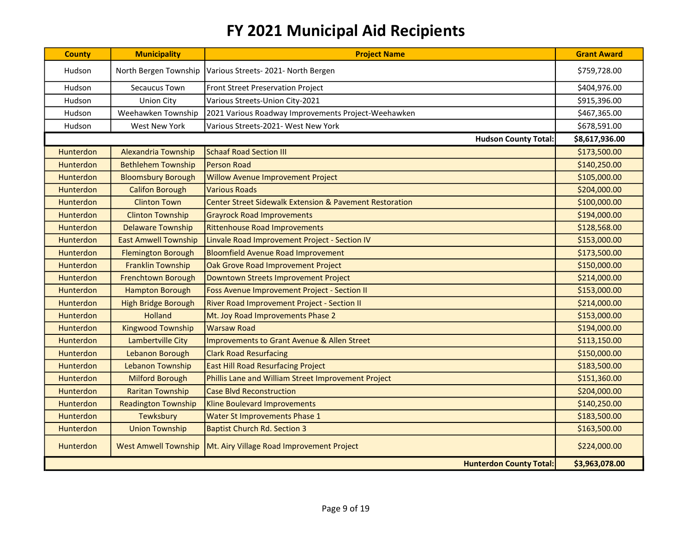| <b>County</b>    | <b>Municipality</b>         | <b>Project Name</b>                                                | <b>Grant Award</b> |
|------------------|-----------------------------|--------------------------------------------------------------------|--------------------|
| Hudson           |                             | North Bergen Township   Various Streets-2021- North Bergen         | \$759,728.00       |
| Hudson           | Secaucus Town               | Front Street Preservation Project                                  | \$404,976.00       |
| Hudson           | <b>Union City</b>           | Various Streets-Union City-2021                                    | \$915,396.00       |
| Hudson           | Weehawken Township          | 2021 Various Roadway Improvements Project-Weehawken                | \$467,365.00       |
| Hudson           | West New York               | Various Streets-2021- West New York                                | \$678,591.00       |
|                  |                             | <b>Hudson County Total:</b>                                        | \$8,617,936.00     |
| Hunterdon        | <b>Alexandria Township</b>  | <b>Schaaf Road Section III</b>                                     | \$173,500.00       |
| <b>Hunterdon</b> | <b>Bethlehem Township</b>   | Person Road                                                        | \$140,250.00       |
| <b>Hunterdon</b> | <b>Bloomsbury Borough</b>   | <b>Willow Avenue Improvement Project</b>                           | \$105,000.00       |
| Hunterdon        | <b>Califon Borough</b>      | <b>Various Roads</b>                                               | \$204,000.00       |
| Hunterdon        | <b>Clinton Town</b>         | <b>Center Street Sidewalk Extension &amp; Pavement Restoration</b> | \$100,000.00       |
| Hunterdon        | <b>Clinton Township</b>     | <b>Grayrock Road Improvements</b>                                  | \$194,000.00       |
| Hunterdon        | <b>Delaware Township</b>    | <b>Rittenhouse Road Improvements</b>                               | \$128,568.00       |
| Hunterdon        | <b>East Amwell Township</b> | Linvale Road Improvement Project - Section IV                      | \$153,000.00       |
| Hunterdon        | <b>Flemington Borough</b>   | <b>Bloomfield Avenue Road Improvement</b>                          | \$173,500.00       |
| <b>Hunterdon</b> | <b>Franklin Township</b>    | Oak Grove Road Improvement Project                                 | \$150,000.00       |
| <b>Hunterdon</b> | <b>Frenchtown Borough</b>   | Downtown Streets Improvement Project                               | \$214,000.00       |
| <b>Hunterdon</b> | <b>Hampton Borough</b>      | Foss Avenue Improvement Project - Section II                       | \$153,000.00       |
| Hunterdon        | <b>High Bridge Borough</b>  | River Road Improvement Project - Section II                        | \$214,000.00       |
| Hunterdon        | <b>Holland</b>              | Mt. Joy Road Improvements Phase 2                                  | \$153,000.00       |
| <b>Hunterdon</b> | <b>Kingwood Township</b>    | <b>Warsaw Road</b>                                                 | \$194,000.00       |
| <b>Hunterdon</b> | Lambertville City           | Improvements to Grant Avenue & Allen Street                        | \$113,150.00       |
| Hunterdon        | Lebanon Borough             | <b>Clark Road Resurfacing</b>                                      | \$150,000.00       |
| Hunterdon        | Lebanon Township            | <b>East Hill Road Resurfacing Project</b>                          | \$183,500.00       |
| Hunterdon        | <b>Milford Borough</b>      | Phillis Lane and William Street Improvement Project                | \$151,360.00       |
| Hunterdon        | <b>Raritan Township</b>     | <b>Case Blvd Reconstruction</b>                                    | \$204,000.00       |
| Hunterdon        | <b>Readington Township</b>  | <b>Kline Boulevard Improvements</b>                                | \$140,250.00       |
| <b>Hunterdon</b> | Tewksbury                   | Water St Improvements Phase 1                                      | \$183,500.00       |
| Hunterdon        | <b>Union Township</b>       | <b>Baptist Church Rd. Section 3</b>                                | \$163,500.00       |
| Hunterdon        |                             | West Amwell Township   Mt. Airy Village Road Improvement Project   | \$224,000.00       |
|                  |                             | <b>Hunterdon County Total:</b>                                     | \$3,963,078.00     |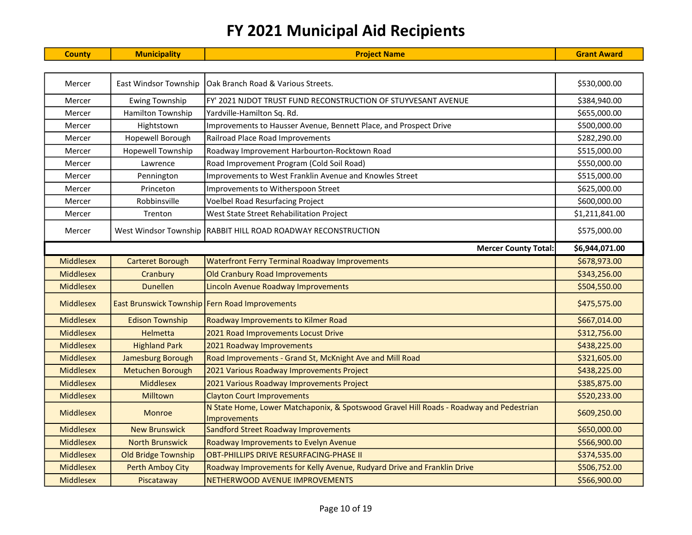| <b>County</b>    | <b>Municipality</b>        | <b>Project Name</b>                                                                                     | <b>Grant Award</b> |
|------------------|----------------------------|---------------------------------------------------------------------------------------------------------|--------------------|
|                  |                            |                                                                                                         |                    |
| Mercer           | East Windsor Township      | lOak Branch Road & Various Streets.                                                                     | \$530,000.00       |
| Mercer           | <b>Ewing Township</b>      | FY' 2021 NJDOT TRUST FUND RECONSTRUCTION OF STUYVESANT AVENUE                                           | \$384,940.00       |
| Mercer           | Hamilton Township          | Yardville-Hamilton Sq. Rd.                                                                              | \$655,000.00       |
| Mercer           | Hightstown                 | Improvements to Hausser Avenue, Bennett Place, and Prospect Drive                                       | \$500,000.00       |
| Mercer           | Hopewell Borough           | Railroad Place Road Improvements                                                                        | \$282,290.00       |
| Mercer           | <b>Hopewell Township</b>   | Roadway Improvement Harbourton-Rocktown Road                                                            | \$515,000.00       |
| Mercer           | Lawrence                   | Road Improvement Program (Cold Soil Road)                                                               | \$550,000.00       |
| Mercer           | Pennington                 | Improvements to West Franklin Avenue and Knowles Street                                                 | \$515,000.00       |
| Mercer           | Princeton                  | Improvements to Witherspoon Street                                                                      | \$625,000.00       |
| Mercer           | Robbinsville               | <b>Voelbel Road Resurfacing Project</b>                                                                 | \$600,000.00       |
| Mercer           | Trenton                    | West State Street Rehabilitation Project                                                                | \$1,211,841.00     |
| Mercer           |                            | West Windsor Township RABBIT HILL ROAD ROADWAY RECONSTRUCTION                                           | \$575,000.00       |
|                  |                            | <b>Mercer County Total:</b>                                                                             | \$6,944,071.00     |
| <b>Middlesex</b> | <b>Carteret Borough</b>    | <b>Waterfront Ferry Terminal Roadway Improvements</b>                                                   | \$678,973.00       |
| <b>Middlesex</b> | Cranbury                   | Old Cranbury Road Improvements                                                                          | \$343,256.00       |
| <b>Middlesex</b> | <b>Dunellen</b>            | Lincoln Avenue Roadway Improvements                                                                     | \$504,550.00       |
| <b>Middlesex</b> |                            | East Brunswick Township Fern Road Improvements                                                          | \$475,575.00       |
| <b>Middlesex</b> | <b>Edison Township</b>     | <b>Roadway Improvements to Kilmer Road</b>                                                              | \$667,014.00       |
| <b>Middlesex</b> | <b>Helmetta</b>            | 2021 Road Improvements Locust Drive                                                                     | \$312,756.00       |
| <b>Middlesex</b> | <b>Highland Park</b>       | 2021 Roadway Improvements                                                                               | \$438,225.00       |
| <b>Middlesex</b> | Jamesburg Borough          | Road Improvements - Grand St, McKnight Ave and Mill Road                                                | \$321,605.00       |
| <b>Middlesex</b> | Metuchen Borough           | 2021 Various Roadway Improvements Project                                                               | \$438,225.00       |
| <b>Middlesex</b> | <b>Middlesex</b>           | 2021 Various Roadway Improvements Project                                                               | \$385,875.00       |
| <b>Middlesex</b> | <b>Milltown</b>            | <b>Clayton Court Improvements</b>                                                                       | \$520,233.00       |
| <b>Middlesex</b> | <b>Monroe</b>              | N State Home, Lower Matchaponix, & Spotswood Gravel Hill Roads - Roadway and Pedestrian<br>Improvements | \$609,250.00       |
| <b>Middlesex</b> | <b>New Brunswick</b>       | Sandford Street Roadway Improvements                                                                    | \$650,000.00       |
| <b>Middlesex</b> | <b>North Brunswick</b>     | Roadway Improvements to Evelyn Avenue                                                                   | \$566,900.00       |
| <b>Middlesex</b> | <b>Old Bridge Township</b> | OBT-PHILLIPS DRIVE RESURFACING-PHASE II                                                                 | \$374,535.00       |
| <b>Middlesex</b> | <b>Perth Amboy City</b>    | Roadway Improvements for Kelly Avenue, Rudyard Drive and Franklin Drive                                 | \$506,752.00       |
| <b>Middlesex</b> | Piscataway                 | NETHERWOOD AVENUE IMPROVEMENTS                                                                          | \$566,900.00       |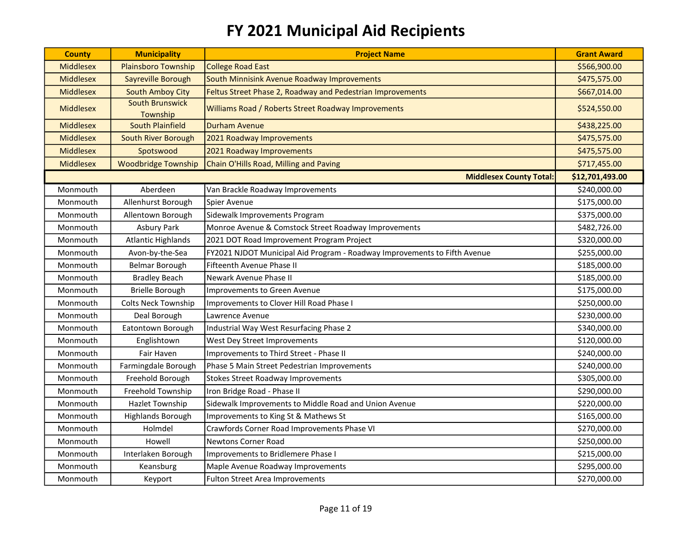| <b>County</b>    | <b>Municipality</b>                | <b>Project Name</b>                                                       | <b>Grant Award</b> |
|------------------|------------------------------------|---------------------------------------------------------------------------|--------------------|
| <b>Middlesex</b> | <b>Plainsboro Township</b>         | College Road East                                                         | \$566,900.00       |
| <b>Middlesex</b> | <b>Sayreville Borough</b>          | South Minnisink Avenue Roadway Improvements                               | \$475,575.00       |
| <b>Middlesex</b> | <b>South Amboy City</b>            | Feltus Street Phase 2, Roadway and Pedestrian Improvements                | \$667,014.00       |
| <b>Middlesex</b> | <b>South Brunswick</b><br>Township | Williams Road / Roberts Street Roadway Improvements                       | \$524,550.00       |
| <b>Middlesex</b> | <b>South Plainfield</b>            | <b>Durham Avenue</b>                                                      | \$438,225.00       |
| <b>Middlesex</b> | South River Borough                | 2021 Roadway Improvements                                                 | \$475,575.00       |
| <b>Middlesex</b> | Spotswood                          | 2021 Roadway Improvements                                                 | \$475,575.00       |
| <b>Middlesex</b> | <b>Woodbridge Township</b>         | Chain O'Hills Road, Milling and Paving                                    | \$717,455.00       |
|                  |                                    | <b>Middlesex County Total:</b>                                            | \$12,701,493.00    |
| Monmouth         | Aberdeen                           | Van Brackle Roadway Improvements                                          | \$240,000.00       |
| Monmouth         | Allenhurst Borough                 | Spier Avenue                                                              | \$175,000.00       |
| Monmouth         | Allentown Borough                  | Sidewalk Improvements Program                                             | \$375,000.00       |
| Monmouth         | Asbury Park                        | Monroe Avenue & Comstock Street Roadway Improvements                      | \$482,726.00       |
| Monmouth         | <b>Atlantic Highlands</b>          | 2021 DOT Road Improvement Program Project                                 | \$320,000.00       |
| Monmouth         | Avon-by-the-Sea                    | FY2021 NJDOT Municipal Aid Program - Roadway Improvements to Fifth Avenue | \$255,000.00       |
| Monmouth         | Belmar Borough                     | Fifteenth Avenue Phase II                                                 | \$185,000.00       |
| Monmouth         | <b>Bradley Beach</b>               | Newark Avenue Phase II                                                    | \$185,000.00       |
| Monmouth         | <b>Brielle Borough</b>             | Improvements to Green Avenue                                              | \$175,000.00       |
| Monmouth         | Colts Neck Township                | Improvements to Clover Hill Road Phase I                                  | \$250,000.00       |
| Monmouth         | Deal Borough                       | Lawrence Avenue                                                           | \$230,000.00       |
| Monmouth         | Eatontown Borough                  | Industrial Way West Resurfacing Phase 2                                   | \$340,000.00       |
| Monmouth         | Englishtown                        | West Dey Street Improvements                                              | \$120,000.00       |
| Monmouth         | Fair Haven                         | Improvements to Third Street - Phase II                                   | \$240,000.00       |
| Monmouth         | Farmingdale Borough                | Phase 5 Main Street Pedestrian Improvements                               | \$240,000.00       |
| Monmouth         | Freehold Borough                   | Stokes Street Roadway Improvements                                        | \$305,000.00       |
| Monmouth         | Freehold Township                  | Iron Bridge Road - Phase II                                               | \$290,000.00       |
| Monmouth         | Hazlet Township                    | Sidewalk Improvements to Middle Road and Union Avenue                     | \$220,000.00       |
| Monmouth         | Highlands Borough                  | Improvements to King St & Mathews St                                      | \$165,000.00       |
| Monmouth         | Holmdel                            | Crawfords Corner Road Improvements Phase VI                               | \$270,000.00       |
| Monmouth         | Howell                             | <b>Newtons Corner Road</b>                                                | \$250,000.00       |
| Monmouth         | Interlaken Borough                 | Improvements to Bridlemere Phase I                                        | \$215,000.00       |
| Monmouth         | Keansburg                          | Maple Avenue Roadway Improvements                                         | \$295,000.00       |
| Monmouth         | Keyport                            | <b>Fulton Street Area Improvements</b>                                    | \$270,000.00       |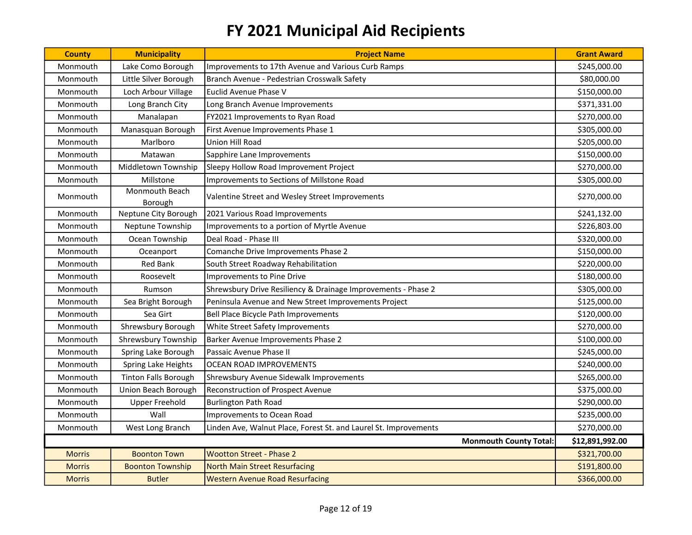| <b>County</b>                 | <b>Municipality</b>         | <b>Project Name</b>                                              | <b>Grant Award</b> |
|-------------------------------|-----------------------------|------------------------------------------------------------------|--------------------|
| Monmouth                      | Lake Como Borough           | Improvements to 17th Avenue and Various Curb Ramps               | \$245,000.00       |
| Monmouth                      | Little Silver Borough       | Branch Avenue - Pedestrian Crosswalk Safety                      | \$80,000.00        |
| Monmouth                      | Loch Arbour Village         | Euclid Avenue Phase V                                            | \$150,000.00       |
| Monmouth                      | Long Branch City            | Long Branch Avenue Improvements                                  | \$371,331.00       |
| Monmouth                      | Manalapan                   | FY2021 Improvements to Ryan Road                                 | \$270,000.00       |
| Monmouth                      | Manasquan Borough           | First Avenue Improvements Phase 1                                | \$305,000.00       |
| Monmouth                      | Marlboro                    | Union Hill Road                                                  | \$205,000.00       |
| Monmouth                      | Matawan                     | Sapphire Lane Improvements                                       | \$150,000.00       |
| Monmouth                      | Middletown Township         | Sleepy Hollow Road Improvement Project                           | \$270,000.00       |
| Monmouth                      | Millstone                   | Improvements to Sections of Millstone Road                       | \$305,000.00       |
| Monmouth                      | Monmouth Beach<br>Borough   | Valentine Street and Wesley Street Improvements                  | \$270,000.00       |
| Monmouth                      | Neptune City Borough        | 2021 Various Road Improvements                                   | \$241,132.00       |
| Monmouth                      | Neptune Township            | Improvements to a portion of Myrtle Avenue                       | \$226,803.00       |
| Monmouth                      | Ocean Township              | Deal Road - Phase III                                            | \$320,000.00       |
| Monmouth                      | Oceanport                   | Comanche Drive Improvements Phase 2                              | \$150,000.00       |
| Monmouth                      | <b>Red Bank</b>             | South Street Roadway Rehabilitation                              | \$220,000.00       |
| Monmouth                      | Roosevelt                   | <b>Improvements to Pine Drive</b>                                | \$180,000.00       |
| Monmouth                      | Rumson                      | Shrewsbury Drive Resiliency & Drainage Improvements - Phase 2    | \$305,000.00       |
| Monmouth                      | Sea Bright Borough          | Peninsula Avenue and New Street Improvements Project             | \$125,000.00       |
| Monmouth                      | Sea Girt                    | Bell Place Bicycle Path Improvements                             | \$120,000.00       |
| Monmouth                      | Shrewsbury Borough          | White Street Safety Improvements                                 | \$270,000.00       |
| Monmouth                      | Shrewsbury Township         | Barker Avenue Improvements Phase 2                               | \$100,000.00       |
| Monmouth                      | Spring Lake Borough         | Passaic Avenue Phase II                                          | \$245,000.00       |
| Monmouth                      | Spring Lake Heights         | <b>OCEAN ROAD IMPROVEMENTS</b>                                   | \$240,000.00       |
| Monmouth                      | <b>Tinton Falls Borough</b> | Shrewsbury Avenue Sidewalk Improvements                          | \$265,000.00       |
| Monmouth                      | Union Beach Borough         | Reconstruction of Prospect Avenue                                | \$375,000.00       |
| Monmouth                      | <b>Upper Freehold</b>       | <b>Burlington Path Road</b>                                      | \$290,000.00       |
| Monmouth                      | Wall                        | Improvements to Ocean Road                                       | \$235,000.00       |
| Monmouth                      | West Long Branch            | Linden Ave, Walnut Place, Forest St. and Laurel St. Improvements | \$270,000.00       |
| <b>Monmouth County Total:</b> |                             |                                                                  | \$12,891,992.00    |
| <b>Morris</b>                 | <b>Boonton Town</b>         | <b>Wootton Street - Phase 2</b>                                  | \$321,700.00       |
| <b>Morris</b>                 | <b>Boonton Township</b>     | North Main Street Resurfacing                                    | \$191,800.00       |
| <b>Morris</b>                 | <b>Butler</b>               | <b>Western Avenue Road Resurfacing</b>                           | \$366,000.00       |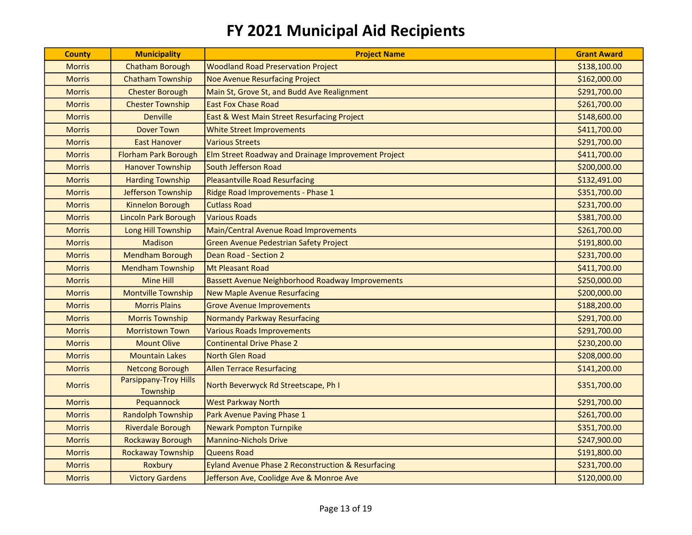| <b>County</b> | <b>Municipality</b>                      | <b>Project Name</b>                                     | <b>Grant Award</b> |
|---------------|------------------------------------------|---------------------------------------------------------|--------------------|
| <b>Morris</b> | <b>Chatham Borough</b>                   | <b>Woodland Road Preservation Project</b>               | \$138,100.00       |
| <b>Morris</b> | <b>Chatham Township</b>                  | <b>Noe Avenue Resurfacing Project</b>                   | \$162,000.00       |
| <b>Morris</b> | <b>Chester Borough</b>                   | Main St, Grove St, and Budd Ave Realignment             | \$291,700.00       |
| <b>Morris</b> | <b>Chester Township</b>                  | <b>East Fox Chase Road</b>                              | \$261,700.00       |
| <b>Morris</b> | <b>Denville</b>                          | East & West Main Street Resurfacing Project             | \$148,600.00       |
| <b>Morris</b> | <b>Dover Town</b>                        | <b>White Street Improvements</b>                        | \$411,700.00       |
| <b>Morris</b> | <b>East Hanover</b>                      | <b>Various Streets</b>                                  | \$291,700.00       |
| <b>Morris</b> | <b>Florham Park Borough</b>              | Elm Street Roadway and Drainage Improvement Project     | \$411,700.00       |
| <b>Morris</b> | <b>Hanover Township</b>                  | South Jefferson Road                                    | \$200,000.00       |
| <b>Morris</b> | <b>Harding Township</b>                  | <b>Pleasantville Road Resurfacing</b>                   | \$132,491.00       |
| <b>Morris</b> | Jefferson Township                       | Ridge Road Improvements - Phase 1                       | \$351,700.00       |
| <b>Morris</b> | Kinnelon Borough                         | <b>Cutlass Road</b>                                     | \$231,700.00       |
| <b>Morris</b> | <b>Lincoln Park Borough</b>              | <b>Various Roads</b>                                    | \$381,700.00       |
| <b>Morris</b> | Long Hill Township                       | Main/Central Avenue Road Improvements                   | \$261,700.00       |
| <b>Morris</b> | <b>Madison</b>                           | Green Avenue Pedestrian Safety Project                  | \$191,800.00       |
| <b>Morris</b> | <b>Mendham Borough</b>                   | Dean Road - Section 2                                   | \$231,700.00       |
| <b>Morris</b> | <b>Mendham Township</b>                  | Mt Pleasant Road                                        | \$411,700.00       |
| <b>Morris</b> | <b>Mine Hill</b>                         | <b>Bassett Avenue Neighborhood Roadway Improvements</b> | \$250,000.00       |
| <b>Morris</b> | <b>Montville Township</b>                | <b>New Maple Avenue Resurfacing</b>                     | \$200,000.00       |
| <b>Morris</b> | <b>Morris Plains</b>                     | <b>Grove Avenue Improvements</b>                        | \$188,200.00       |
| <b>Morris</b> | <b>Morris Township</b>                   | <b>Normandy Parkway Resurfacing</b>                     | \$291,700.00       |
| <b>Morris</b> | <b>Morristown Town</b>                   | <b>Various Roads Improvements</b>                       | \$291,700.00       |
| <b>Morris</b> | <b>Mount Olive</b>                       | <b>Continental Drive Phase 2</b>                        | \$230,200.00       |
| <b>Morris</b> | <b>Mountain Lakes</b>                    | North Glen Road                                         | \$208,000.00       |
| <b>Morris</b> | <b>Netcong Borough</b>                   | <b>Allen Terrace Resurfacing</b>                        | \$141,200.00       |
| <b>Morris</b> | <b>Parsippany-Troy Hills</b><br>Township | North Beverwyck Rd Streetscape, Ph I                    | \$351,700.00       |
| <b>Morris</b> | Pequannock                               | <b>West Parkway North</b>                               | \$291,700.00       |
| <b>Morris</b> | <b>Randolph Township</b>                 | Park Avenue Paving Phase 1                              | \$261,700.00       |
| <b>Morris</b> | <b>Riverdale Borough</b>                 | Newark Pompton Turnpike                                 | \$351,700.00       |
| <b>Morris</b> | <b>Rockaway Borough</b>                  | <b>Mannino-Nichols Drive</b>                            | \$247,900.00       |
| <b>Morris</b> | <b>Rockaway Township</b>                 | <b>Queens Road</b>                                      | \$191,800.00       |
| <b>Morris</b> | Roxbury                                  | Eyland Avenue Phase 2 Reconstruction & Resurfacing      | \$231,700.00       |
| <b>Morris</b> | <b>Victory Gardens</b>                   | Jefferson Ave, Coolidge Ave & Monroe Ave                | \$120,000.00       |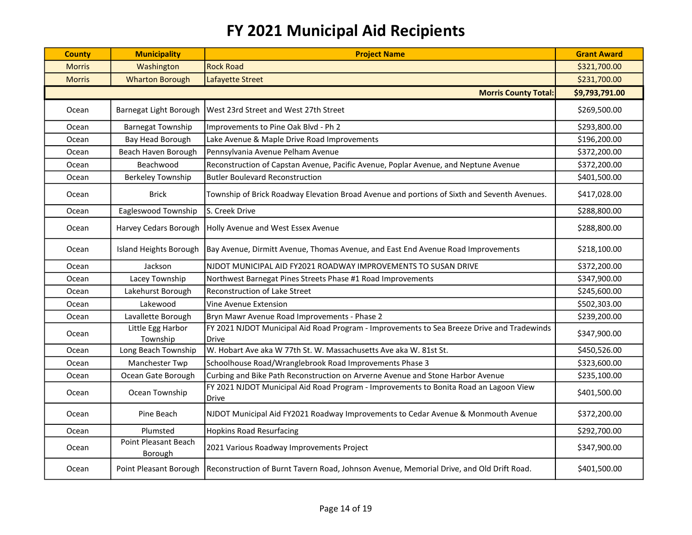| <b>County</b> | <b>Municipality</b>             | <b>Project Name</b>                                                                                             | <b>Grant Award</b> |
|---------------|---------------------------------|-----------------------------------------------------------------------------------------------------------------|--------------------|
| <b>Morris</b> | Washington                      | <b>Rock Road</b>                                                                                                | \$321,700.00       |
| <b>Morris</b> | <b>Wharton Borough</b>          | Lafayette Street                                                                                                | \$231,700.00       |
|               |                                 | <b>Morris County Total:</b>                                                                                     | \$9,793,791.00     |
| Ocean         | Barnegat Light Borough          | West 23rd Street and West 27th Street                                                                           | \$269,500.00       |
| Ocean         | <b>Barnegat Township</b>        | Improvements to Pine Oak Blvd - Ph 2                                                                            | \$293,800.00       |
| Ocean         | Bay Head Borough                | Lake Avenue & Maple Drive Road Improvements                                                                     | \$196,200.00       |
| Ocean         | Beach Haven Borough             | Pennsylvania Avenue Pelham Avenue                                                                               | \$372,200.00       |
| Ocean         | Beachwood                       | Reconstruction of Capstan Avenue, Pacific Avenue, Poplar Avenue, and Neptune Avenue                             | \$372,200.00       |
| Ocean         | Berkeley Township               | <b>Butler Boulevard Reconstruction</b>                                                                          | \$401,500.00       |
| Ocean         | <b>Brick</b>                    | Township of Brick Roadway Elevation Broad Avenue and portions of Sixth and Seventh Avenues.                     | \$417,028.00       |
| Ocean         | Eagleswood Township             | S. Creek Drive                                                                                                  | \$288,800.00       |
| Ocean         | Harvey Cedars Borough           | Holly Avenue and West Essex Avenue                                                                              | \$288,800.00       |
| Ocean         | Island Heights Borough          | Bay Avenue, Dirmitt Avenue, Thomas Avenue, and East End Avenue Road Improvements                                | \$218,100.00       |
| Ocean         | Jackson                         | NJDOT MUNICIPAL AID FY2021 ROADWAY IMPROVEMENTS TO SUSAN DRIVE                                                  | \$372,200.00       |
| Ocean         | Lacey Township                  | Northwest Barnegat Pines Streets Phase #1 Road Improvements                                                     | \$347,900.00       |
| Ocean         | Lakehurst Borough               | <b>Reconstruction of Lake Street</b>                                                                            | \$245,600.00       |
| Ocean         | Lakewood                        | Vine Avenue Extension                                                                                           | \$502,303.00       |
| Ocean         | Lavallette Borough              | Bryn Mawr Avenue Road Improvements - Phase 2                                                                    | \$239,200.00       |
| Ocean         | Little Egg Harbor<br>Township   | FY 2021 NJDOT Municipal Aid Road Program - Improvements to Sea Breeze Drive and Tradewinds<br>Drive             | \$347,900.00       |
| Ocean         | Long Beach Township             | W. Hobart Ave aka W 77th St. W. Massachusetts Ave aka W. 81st St.                                               | \$450,526.00       |
| Ocean         | Manchester Twp                  | Schoolhouse Road/Wranglebrook Road Improvements Phase 3                                                         | \$323,600.00       |
| Ocean         | Ocean Gate Borough              | Curbing and Bike Path Reconstruction on Arverne Avenue and Stone Harbor Avenue                                  | \$235,100.00       |
| Ocean         | Ocean Township                  | FY 2021 NJDOT Municipal Aid Road Program - Improvements to Bonita Road an Lagoon View<br>Drive                  | \$401,500.00       |
| Ocean         | Pine Beach                      | NJDOT Municipal Aid FY2021 Roadway Improvements to Cedar Avenue & Monmouth Avenue                               | \$372,200.00       |
| Ocean         | Plumsted                        | <b>Hopkins Road Resurfacing</b>                                                                                 | \$292,700.00       |
| Ocean         | Point Pleasant Beach<br>Borough | 2021 Various Roadway Improvements Project                                                                       | \$347,900.00       |
| Ocean         |                                 | Point Pleasant Borough Reconstruction of Burnt Tavern Road, Johnson Avenue, Memorial Drive, and Old Drift Road. | \$401,500.00       |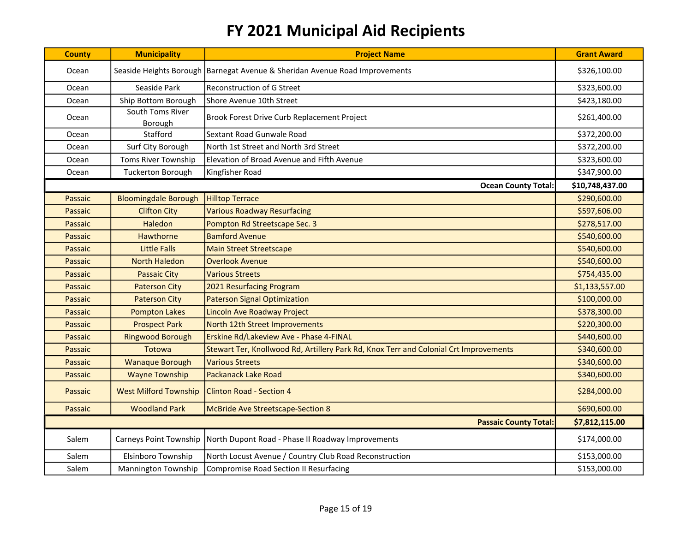| <b>County</b>  | <b>Municipality</b>          | <b>Project Name</b>                                                                   | <b>Grant Award</b> |
|----------------|------------------------------|---------------------------------------------------------------------------------------|--------------------|
| Ocean          |                              | Seaside Heights Borough Barnegat Avenue & Sheridan Avenue Road Improvements           | \$326,100.00       |
| Ocean          | Seaside Park                 | Reconstruction of G Street                                                            | \$323,600.00       |
| Ocean          | Ship Bottom Borough          | Shore Avenue 10th Street                                                              | \$423,180.00       |
| Ocean          | South Toms River<br>Borough  | Brook Forest Drive Curb Replacement Project                                           | \$261,400.00       |
| Ocean          | Stafford                     | Sextant Road Gunwale Road                                                             | \$372,200.00       |
| Ocean          | Surf City Borough            | North 1st Street and North 3rd Street                                                 | \$372,200.00       |
| Ocean          | <b>Toms River Township</b>   | Elevation of Broad Avenue and Fifth Avenue                                            | \$323,600.00       |
| Ocean          | <b>Tuckerton Borough</b>     | Kingfisher Road                                                                       | \$347,900.00       |
|                |                              | <b>Ocean County Total:</b>                                                            | \$10,748,437.00    |
| Passaic        | <b>Bloomingdale Borough</b>  | <b>Hilltop Terrace</b>                                                                | \$290,600.00       |
| Passaic        | <b>Clifton City</b>          | <b>Various Roadway Resurfacing</b>                                                    | \$597,606.00       |
| Passaic        | <b>Haledon</b>               | Pompton Rd Streetscape Sec. 3                                                         | \$278,517.00       |
| Passaic        | <b>Hawthorne</b>             | <b>Bamford Avenue</b>                                                                 | \$540,600.00       |
| Passaic        | <b>Little Falls</b>          | <b>Main Street Streetscape</b>                                                        | \$540,600.00       |
| <b>Passaic</b> | <b>North Haledon</b>         | <b>Overlook Avenue</b>                                                                | \$540,600.00       |
| Passaic        | <b>Passaic City</b>          | <b>Various Streets</b>                                                                | \$754,435.00       |
| Passaic        | <b>Paterson City</b>         | 2021 Resurfacing Program                                                              | \$1,133,557.00     |
| Passaic        | <b>Paterson City</b>         | <b>Paterson Signal Optimization</b>                                                   | \$100,000.00       |
| Passaic        | <b>Pompton Lakes</b>         | Lincoln Ave Roadway Project                                                           | \$378,300.00       |
| Passaic        | <b>Prospect Park</b>         | North 12th Street Improvements                                                        | \$220,300.00       |
| Passaic        | <b>Ringwood Borough</b>      | Erskine Rd/Lakeview Ave - Phase 4-FINAL                                               | \$440,600.00       |
| Passaic        | Totowa                       | Stewart Ter, Knollwood Rd, Artillery Park Rd, Knox Terr and Colonial Crt Improvements | \$340,600.00       |
| Passaic        | <b>Wanaque Borough</b>       | <b>Various Streets</b>                                                                | \$340,600.00       |
| Passaic        | <b>Wayne Township</b>        | Packanack Lake Road                                                                   | \$340,600.00       |
| Passaic        | <b>West Milford Township</b> | <b>Clinton Road - Section 4</b>                                                       | \$284,000.00       |
| Passaic        | <b>Woodland Park</b>         | <b>McBride Ave Streetscape-Section 8</b>                                              | \$690,600.00       |
|                |                              | <b>Passaic County Total:</b>                                                          | \$7,812,115.00     |
| Salem          | Carneys Point Township       | North Dupont Road - Phase II Roadway Improvements                                     | \$174,000.00       |
| Salem          | Elsinboro Township           | North Locust Avenue / Country Club Road Reconstruction                                | \$153,000.00       |
| Salem          | Mannington Township          | Compromise Road Section II Resurfacing                                                | \$153,000.00       |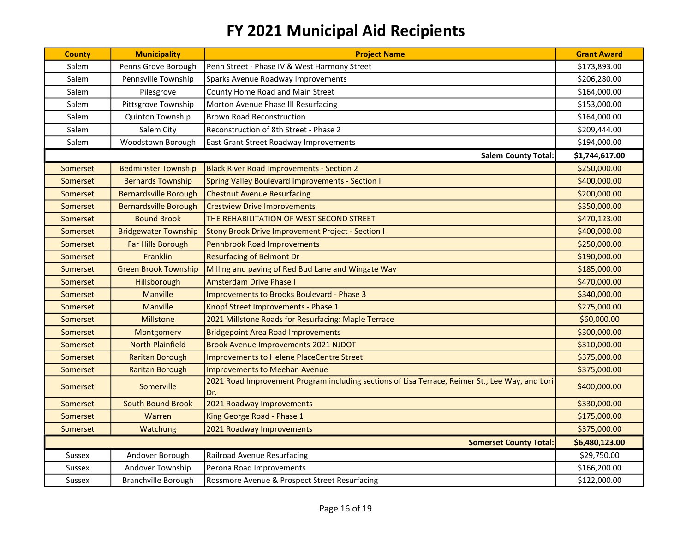| <b>County</b>                 | <b>Municipality</b>          | <b>Project Name</b>                                                                                    | <b>Grant Award</b> |
|-------------------------------|------------------------------|--------------------------------------------------------------------------------------------------------|--------------------|
| Salem                         | Penns Grove Borough          | Penn Street - Phase IV & West Harmony Street                                                           | \$173,893.00       |
| Salem                         | Pennsville Township          | Sparks Avenue Roadway Improvements                                                                     | \$206,280.00       |
| Salem                         | Pilesgrove                   | County Home Road and Main Street                                                                       | \$164,000.00       |
| Salem                         | Pittsgrove Township          | Morton Avenue Phase III Resurfacing                                                                    | \$153,000.00       |
| Salem                         | Quinton Township             | <b>Brown Road Reconstruction</b>                                                                       | \$164,000.00       |
| Salem                         | Salem City                   | Reconstruction of 8th Street - Phase 2                                                                 | \$209,444.00       |
| Salem                         | Woodstown Borough            | East Grant Street Roadway Improvements                                                                 | \$194,000.00       |
|                               | <b>Salem County Total:</b>   |                                                                                                        |                    |
| Somerset                      | <b>Bedminster Township</b>   | <b>Black River Road Improvements - Section 2</b>                                                       | \$250,000.00       |
| Somerset                      | <b>Bernards Township</b>     | Spring Valley Boulevard Improvements - Section II                                                      | \$400,000.00       |
| Somerset                      | <b>Bernardsville Borough</b> | <b>Chestnut Avenue Resurfacing</b>                                                                     | \$200,000.00       |
| Somerset                      | <b>Bernardsville Borough</b> | <b>Crestview Drive Improvements</b>                                                                    | \$350,000.00       |
| Somerset                      | <b>Bound Brook</b>           | THE REHABILITATION OF WEST SECOND STREET                                                               | \$470,123.00       |
| Somerset                      | <b>Bridgewater Township</b>  | Stony Brook Drive Improvement Project - Section I                                                      | \$400,000.00       |
| Somerset                      | Far Hills Borough            | <b>Pennbrook Road Improvements</b>                                                                     | \$250,000.00       |
| Somerset                      | Franklin                     | <b>Resurfacing of Belmont Dr</b>                                                                       | \$190,000.00       |
| Somerset                      | <b>Green Brook Township</b>  | Milling and paving of Red Bud Lane and Wingate Way                                                     | \$185,000.00       |
| Somerset                      | Hillsborough                 | <b>Amsterdam Drive Phase I</b>                                                                         | \$470,000.00       |
| Somerset                      | <b>Manville</b>              | <b>Improvements to Brooks Boulevard - Phase 3</b>                                                      | \$340,000.00       |
| Somerset                      | <b>Manville</b>              | Knopf Street Improvements - Phase 1                                                                    | \$275,000.00       |
| Somerset                      | <b>Millstone</b>             | 2021 Millstone Roads for Resurfacing: Maple Terrace                                                    | \$60,000.00        |
| Somerset                      | Montgomery                   | <b>Bridgepoint Area Road Improvements</b>                                                              | \$300,000.00       |
| Somerset                      | <b>North Plainfield</b>      | Brook Avenue Improvements-2021 NJDOT                                                                   | \$310,000.00       |
| Somerset                      | <b>Raritan Borough</b>       | Improvements to Helene PlaceCentre Street                                                              | \$375,000.00       |
| Somerset                      | <b>Raritan Borough</b>       | Improvements to Meehan Avenue                                                                          | \$375,000.00       |
| Somerset                      | Somerville                   | 2021 Road Improvement Program including sections of Lisa Terrace, Reimer St., Lee Way, and Lori<br>Dr. | \$400,000.00       |
| Somerset                      | <b>South Bound Brook</b>     | 2021 Roadway Improvements                                                                              | \$330,000.00       |
| Somerset                      | Warren                       | King George Road - Phase 1                                                                             | \$175,000.00       |
| Somerset                      | Watchung                     | 2021 Roadway Improvements                                                                              | \$375,000.00       |
| <b>Somerset County Total:</b> |                              |                                                                                                        | \$6,480,123.00     |
| <b>Sussex</b>                 | Andover Borough              | Railroad Avenue Resurfacing                                                                            | \$29,750.00        |
| <b>Sussex</b>                 | Andover Township             | Perona Road Improvements                                                                               | \$166,200.00       |
| <b>Sussex</b>                 | Branchville Borough          | Rossmore Avenue & Prospect Street Resurfacing                                                          | \$122,000.00       |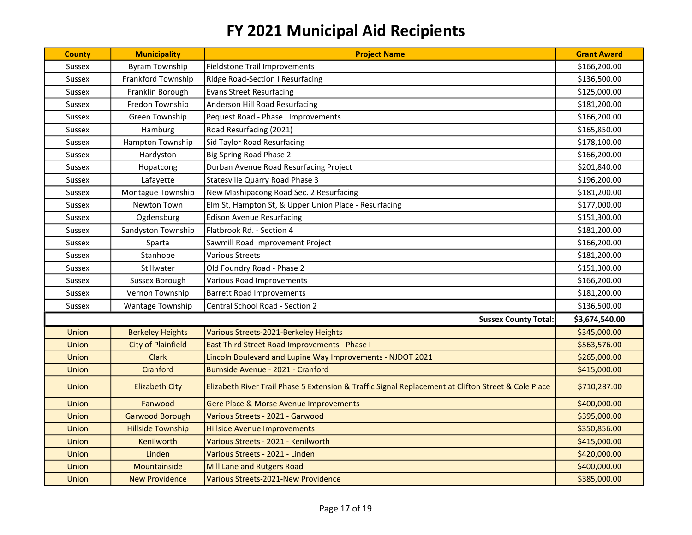| <b>County</b> | <b>Municipality</b>       | <b>Project Name</b>                                                                                 | <b>Grant Award</b> |
|---------------|---------------------------|-----------------------------------------------------------------------------------------------------|--------------------|
| <b>Sussex</b> | <b>Byram Township</b>     | <b>Fieldstone Trail Improvements</b>                                                                | \$166,200.00       |
| <b>Sussex</b> | Frankford Township        | Ridge Road-Section I Resurfacing                                                                    | \$136,500.00       |
| <b>Sussex</b> | Franklin Borough          | <b>Evans Street Resurfacing</b>                                                                     | \$125,000.00       |
| <b>Sussex</b> | Fredon Township           | Anderson Hill Road Resurfacing                                                                      | \$181,200.00       |
| Sussex        | Green Township            | Pequest Road - Phase I Improvements                                                                 | \$166,200.00       |
| Sussex        | Hamburg                   | Road Resurfacing (2021)                                                                             | \$165,850.00       |
| <b>Sussex</b> | Hampton Township          | Sid Taylor Road Resurfacing                                                                         | \$178,100.00       |
| <b>Sussex</b> | Hardyston                 | <b>Big Spring Road Phase 2</b>                                                                      | \$166,200.00       |
| <b>Sussex</b> | Hopatcong                 | Durban Avenue Road Resurfacing Project                                                              | \$201,840.00       |
| <b>Sussex</b> | Lafayette                 | Statesville Quarry Road Phase 3                                                                     | \$196,200.00       |
| <b>Sussex</b> | Montague Township         | New Mashipacong Road Sec. 2 Resurfacing                                                             | \$181,200.00       |
| Sussex        | Newton Town               | Elm St, Hampton St, & Upper Union Place - Resurfacing                                               | \$177,000.00       |
| Sussex        | Ogdensburg                | <b>Edison Avenue Resurfacing</b>                                                                    | \$151,300.00       |
| Sussex        | Sandyston Township        | Flatbrook Rd. - Section 4                                                                           | \$181,200.00       |
| <b>Sussex</b> | Sparta                    | Sawmill Road Improvement Project                                                                    | \$166,200.00       |
| <b>Sussex</b> | Stanhope                  | Various Streets                                                                                     | \$181,200.00       |
| Sussex        | Stillwater                | Old Foundry Road - Phase 2                                                                          | \$151,300.00       |
| <b>Sussex</b> | Sussex Borough            | Various Road Improvements                                                                           | \$166,200.00       |
| <b>Sussex</b> | Vernon Township           | <b>Barrett Road Improvements</b>                                                                    | \$181,200.00       |
| Sussex        | Wantage Township          | Central School Road - Section 2                                                                     | \$136,500.00       |
|               |                           | <b>Sussex County Total:</b>                                                                         | \$3,674,540.00     |
| Union         | <b>Berkeley Heights</b>   | Various Streets-2021-Berkeley Heights                                                               | \$345,000.00       |
| Union         | <b>City of Plainfield</b> | East Third Street Road Improvements - Phase I                                                       | \$563,576.00       |
| Union         | <b>Clark</b>              | Lincoln Boulevard and Lupine Way Improvements - NJDOT 2021                                          | \$265,000.00       |
| Union         | Cranford                  | Burnside Avenue - 2021 - Cranford                                                                   | \$415,000.00       |
| <b>Union</b>  | <b>Elizabeth City</b>     | Elizabeth River Trail Phase 5 Extension & Traffic Signal Replacement at Clifton Street & Cole Place | \$710,287.00       |
| Union         | Fanwood                   | <b>Gere Place &amp; Morse Avenue Improvements</b>                                                   | \$400,000.00       |
| Union         | <b>Garwood Borough</b>    | Various Streets - 2021 - Garwood                                                                    | \$395,000.00       |
| Union         | <b>Hillside Township</b>  | <b>Hillside Avenue Improvements</b>                                                                 | \$350,856.00       |
| Union         | Kenilworth                | Various Streets - 2021 - Kenilworth                                                                 | \$415,000.00       |
| Union         | Linden                    | Various Streets - 2021 - Linden                                                                     | \$420,000.00       |
| Union         | Mountainside              | Mill Lane and Rutgers Road                                                                          | \$400,000.00       |
| Union         | <b>New Providence</b>     | <b>Various Streets-2021-New Providence</b>                                                          | \$385,000.00       |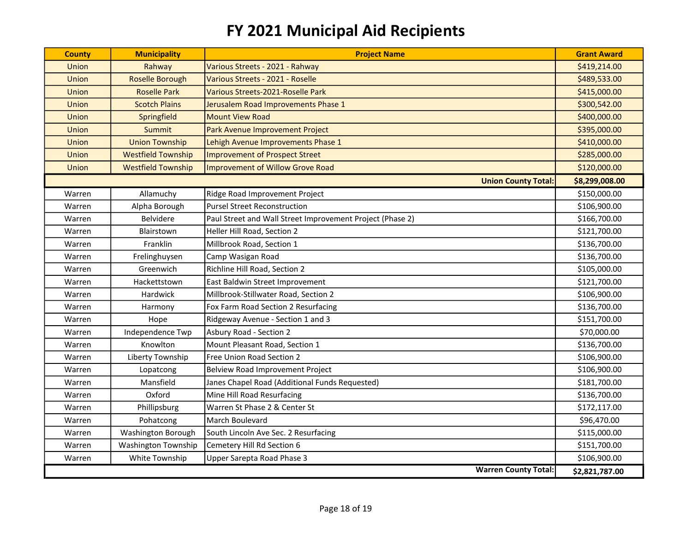| <b>County</b> | <b>Municipality</b>       | <b>Project Name</b>                                       | <b>Grant Award</b> |
|---------------|---------------------------|-----------------------------------------------------------|--------------------|
| Union         | Rahway                    | Various Streets - 2021 - Rahway                           | \$419,214.00       |
| Union         | <b>Roselle Borough</b>    | Various Streets - 2021 - Roselle                          | \$489,533.00       |
| Union         | <b>Roselle Park</b>       | Various Streets-2021-Roselle Park                         | \$415,000.00       |
| Union         | <b>Scotch Plains</b>      | Jerusalem Road Improvements Phase 1                       | \$300,542.00       |
| Union         | Springfield               | <b>Mount View Road</b>                                    | \$400,000.00       |
| Union         | <b>Summit</b>             | Park Avenue Improvement Project                           | \$395,000.00       |
| Union         | <b>Union Township</b>     | Lehigh Avenue Improvements Phase 1                        | \$410,000.00       |
| Union         | <b>Westfield Township</b> | Improvement of Prospect Street                            | \$285,000.00       |
| Union         | <b>Westfield Township</b> | <b>Improvement of Willow Grove Road</b>                   | \$120,000.00       |
|               |                           | <b>Union County Total:</b>                                | \$8,299,008.00     |
| Warren        | Allamuchy                 | Ridge Road Improvement Project                            | \$150,000.00       |
| Warren        | Alpha Borough             | <b>Pursel Street Reconstruction</b>                       | \$106,900.00       |
| Warren        | <b>Belvidere</b>          | Paul Street and Wall Street Improvement Project (Phase 2) | \$166,700.00       |
| Warren        | Blairstown                | Heller Hill Road, Section 2                               | \$121,700.00       |
| Warren        | Franklin                  | Millbrook Road, Section 1                                 | \$136,700.00       |
| Warren        | Frelinghuysen             | Camp Wasigan Road                                         | \$136,700.00       |
| Warren        | Greenwich                 | Richline Hill Road, Section 2                             | \$105,000.00       |
| Warren        | Hackettstown              | East Baldwin Street Improvement                           | \$121,700.00       |
| Warren        | Hardwick                  | Millbrook-Stillwater Road, Section 2                      | \$106,900.00       |
| Warren        | Harmony                   | Fox Farm Road Section 2 Resurfacing                       | \$136,700.00       |
| Warren        | Hope                      | Ridgeway Avenue - Section 1 and 3                         | \$151,700.00       |
| Warren        | Independence Twp          | Asbury Road - Section 2                                   | \$70,000.00        |
| Warren        | Knowlton                  | Mount Pleasant Road, Section 1                            | \$136,700.00       |
| Warren        | Liberty Township          | Free Union Road Section 2                                 | \$106,900.00       |
| Warren        | Lopatcong                 | Belview Road Improvement Project                          | \$106,900.00       |
| Warren        | Mansfield                 | Janes Chapel Road (Additional Funds Requested)            | \$181,700.00       |
| Warren        | Oxford                    | Mine Hill Road Resurfacing                                | \$136,700.00       |
| Warren        | Phillipsburg              | Warren St Phase 2 & Center St                             | \$172,117.00       |
| Warren        | Pohatcong                 | March Boulevard                                           | \$96,470.00        |
| Warren        | Washington Borough        | South Lincoln Ave Sec. 2 Resurfacing                      | \$115,000.00       |
| Warren        | Washington Township       | Cemetery Hill Rd Section 6                                | \$151,700.00       |
| Warren        | White Township            | Upper Sarepta Road Phase 3                                | \$106,900.00       |
|               |                           | <b>Warren County Total:</b>                               | \$2,821,787.00     |